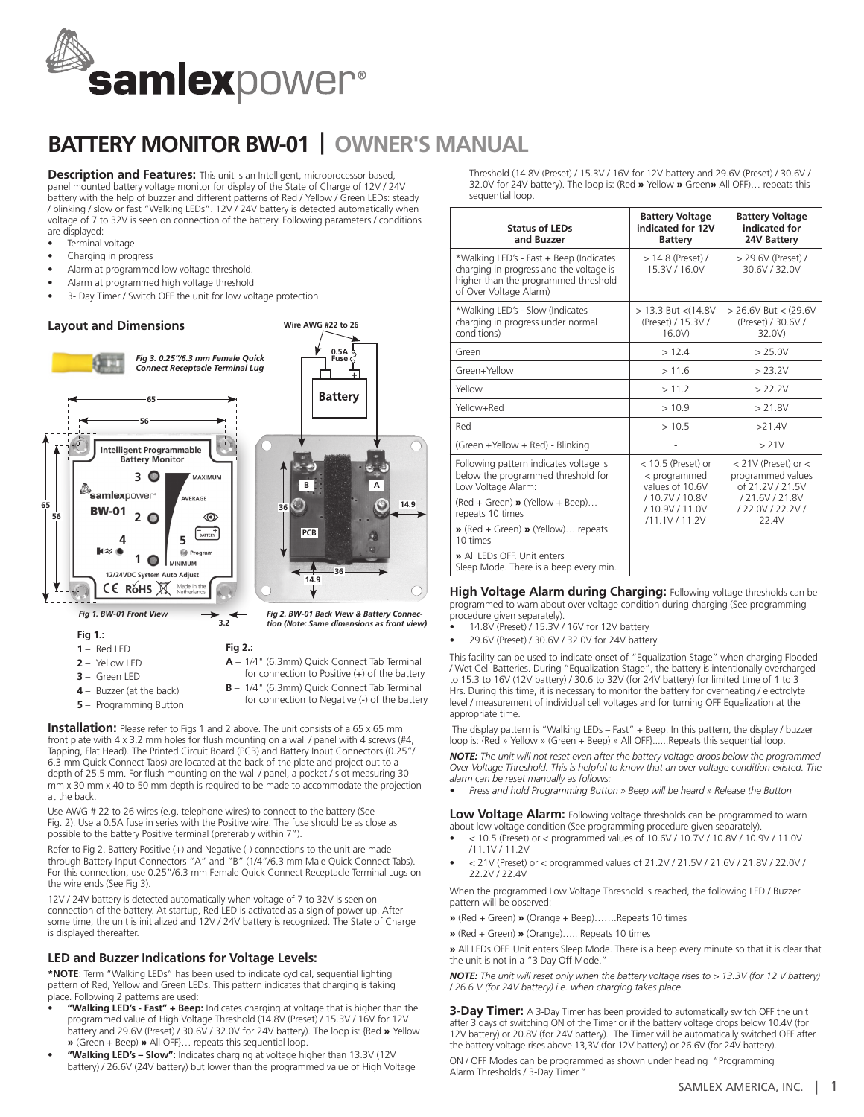

# **BATTERY MONITOR BW-01 | OWNER'S MANUAL**

**Wire AWG #22 to 26**

**Description and Features:** This unit is an Intelligent, microprocessor based, panel mounted battery voltage monitor for display of the State of Charge of 12V / 24V battery with the help of buzzer and different patterns of Red / Yellow / Green LEDs: steady / blinking / slow or fast "Walking LEDs". 12V / 24V battery is detected automatically when voltage of 7 to 32V is seen on connection of the battery. Following parameters / conditions are displayed:

- Terminal voltage
- Charging in progress
- Alarm at programmed low voltage threshold.
- Alarm at programmed high voltage threshold
- 3- Day Timer / Switch OFF the unit for low voltage protection

## **Layout and Dimensions**



- **3** Green LED
- **4** Buzzer (at the back)

**5** – Programming Button

- **A** 1/4" (6.3mm) Quick Connect Tab Terminal for connection to Positive (+) of the battery
- **B** 1/4" (6.3mm) Quick Connect Tab Terminal
	- for connection to Negative (-) of the battery

**Installation:** Please refer to Figs 1 and 2 above. The unit consists of a 65 x 65 mm front plate with 4 x 3.2 mm holes for flush mounting on a wall / panel with 4 screws (#4, Tapping, Flat Head). The Printed Circuit Board (PCB) and Battery Input Connectors (0.25"/ 6.3 mm Quick Connect Tabs) are located at the back of the plate and project out to a depth of 25.5 mm. For flush mounting on the wall / panel, a pocket / slot measuring 30 mm x 30 mm x 40 to 50 mm depth is required to be made to accommodate the projection at the back.

Use AWG # 22 to 26 wires (e.g. telephone wires) to connect to the battery (See Fig. 2). Use a 0.5A fuse in series with the Positive wire. The fuse should be as close as possible to the battery Positive terminal (preferably within 7").

Refer to Fig 2. Battery Positive (+) and Negative (-) connections to the unit are made through Battery Input Connectors "A" and "B" (1/4"/6.3 mm Male Quick Connect Tabs). For this connection, use 0.25"/6.3 mm Female Quick Connect Receptacle Terminal Lugs on the wire ends (See Fig 3).

12V / 24V battery is detected automatically when voltage of 7 to 32V is seen on connection of the battery. At startup, Red LED is activated as a sign of power up. After some time, the unit is initialized and 12V / 24V battery is recognized. The State of Charge is displayed thereafter.

### **LED and Buzzer Indications for Voltage Levels:**

**\*NOTE**: Term "Walking LEDs" has been used to indicate cyclical, sequential lighting pattern of Red, Yellow and Green LEDs. This pattern indicates that charging is taking place. Following 2 patterns are used:

- "Walking LED's Fast" + Beep: Indicates charging at voltage that is higher than the programmed value of High Voltage Threshold (14.8V (Preset) / 15.3V / 16V for 12V battery and 29.6V (Preset) / 30.6V / 32.0V for 24V battery). The loop is: {Red » Yellow » (Green + Beep) » All OFF}… repeats this sequential loop.
- • **"Walking LED's Slow":** Indicates charging at voltage higher than 13.3V (12V battery) / 26.6V (24V battery) but lower than the programmed value of High Voltage

Threshold (14.8V (Preset) / 15.3V / 16V for 12V battery and 29.6V (Preset) / 30.6V / 32.0V for 24V battery). The loop is: (Red » Yellow » Green» All OFF)… repeats this sequential loop.

| <b>Status of LEDs</b><br>and Buzzer                                                                                                                  | <b>Battery Voltage</b><br>indicated for 12V<br><b>Battery</b>           | <b>Battery Voltage</b><br>indicated for<br>24V Battery                           |
|------------------------------------------------------------------------------------------------------------------------------------------------------|-------------------------------------------------------------------------|----------------------------------------------------------------------------------|
| *Walking LED's - Fast + Beep (Indicates<br>charging in progress and the voltage is<br>higher than the programmed threshold<br>of Over Voltage Alarm) | $> 14.8$ (Preset) /<br>15.3V / 16.0V                                    | > 29.6V (Preset) /<br>30.6V / 32.0V                                              |
| *Walking LED's - Slow (Indicates<br>charging in progress under normal<br>conditions)                                                                 | > 13.3 But < (14.8V)<br>(Preset) / 15.3V /<br>16.0V                     | > 26.6V But < (29.6V)<br>(Preset) / 30.6V /<br>32.0V)                            |
| Green                                                                                                                                                | >12.4                                                                   | > 25.0V                                                                          |
| Green+Yellow                                                                                                                                         | >11.6                                                                   | > 23.2V                                                                          |
| Yellow                                                                                                                                               | >11.2                                                                   | > 22.2V                                                                          |
| Yellow+Red                                                                                                                                           | >10.9                                                                   | > 21.8V                                                                          |
| Red                                                                                                                                                  | >10.5                                                                   | >21.4V                                                                           |
| (Green +Yellow + Red) - Blinking                                                                                                                     |                                                                         | >21V                                                                             |
| Following pattern indicates voltage is<br>below the programmed threshold for<br>Low Voltage Alarm:                                                   | $<$ 10.5 (Preset) or<br>< programmed<br>values of 10.6V<br>/10.7V/10.8V | $<$ 21V (Preset) or $<$<br>programmed values<br>of 21.2V / 21.5V<br>/21.6V/21.8V |
| (Red + Green) » (Yellow + Beep)<br>repeats 10 times                                                                                                  | /10.9V/11.0V<br>/11.1V / 11.2V                                          | /22.0V/22.2V/<br>22.4V                                                           |
| $\mathbf{v}$ (Red + Green) $\mathbf{v}$ (Yellow) repeats<br>10 times                                                                                 |                                                                         |                                                                                  |
| » All LEDs OFF. Unit enters<br>Sleep Mode. There is a beep every min.                                                                                |                                                                         |                                                                                  |

**High Voltage Alarm during Charging: Following voltage thresholds can be** programmed to warn about over voltage condition during charging (See programming procedure given separately).

- 14.8V (Preset) / 15.3V / 16V for 12V battery
- 29.6V (Preset) / 30.6V / 32.0V for 24V battery

This facility can be used to indicate onset of "Equalization Stage" when charging Flooded / Wet Cell Batteries. During "Equalization Stage", the battery is intentionally overcharged to 15.3 to 16V (12V battery) / 30.6 to 32V (for 24V battery) for limited time of 1 to 3 Hrs. During this time, it is necessary to monitor the battery for overheating / electrolyte level / measurement of individual cell voltages and for turning OFF Equalization at the appropriate time.

 The display pattern is "Walking LEDs – Fast" + Beep. In this pattern, the display / buzzer loop is: {Red » Yellow » (Green + Beep) » All OFF}......Repeats this sequential loop.

*NOTE: The unit will not reset even after the battery voltage drops below the programmed Over Voltage Threshold. This is helpful to know that an over voltage condition existed. The alarm can be reset manually as follows:*

*• Press and hold Programming Button » Beep will be heard » Release the Button* 

**Low Voltage Alarm:** Following voltage thresholds can be programmed to warn about low voltage condition (See programming procedure given separately).

- • < 10.5 (Preset) or < programmed values of 10.6V / 10.7V / 10.8V / 10.9V / 11.0V /11.1V / 11.2V
- • < 21V (Preset) or < programmed values of 21.2V / 21.5V / 21.6V / 21.8V / 22.0V / 22.2V / 22.4V

When the programmed Low Voltage Threshold is reached, the following LED / Buzzer pattern will be observed:

- » (Red + Green) » (Orange + Beep)…….Repeats 10 times
- » (Red + Green) » (Orange)….. Repeats 10 times

» All LEDs OFF. Unit enters Sleep Mode. There is a beep every minute so that it is clear that the unit is not in a "3 Day Off Mode.

*NOTE: The unit will reset only when the battery voltage rises to > 13.3V (for 12 V battery) / 26.6 V (for 24V battery) i.e. when charging takes place.*

**3-Day Timer:** A 3-Day Timer has been provided to automatically switch OFF the unit after 3 days of switching ON of the Timer or if the battery voltage drops below 10.4V (for 12V battery) or 20.8V (for 24V battery). The Timer will be automatically switched OFF after the battery voltage rises above 13,3V (for 12V battery) or 26.6V (for 24V battery).

ON / OFF Modes can be programmed as shown under heading "Programming Alarm Thresholds / 3-Day Timer."